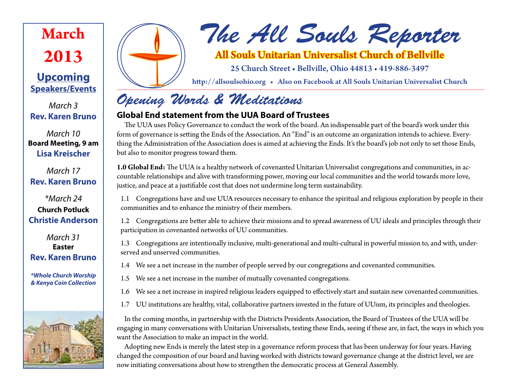# **March 2013**

### **Upcoming Speakers/Events**

*March 3* **Rev. Karen Bruno**

*March 10* **Board Meeting, 9 am Lisa Kreischer**

*March 17* **Rev. Karen Bruno**

*\*March 24* **Church Potluck Christie Anderson**

*March 31* **Easter Rev. Karen Bruno**

*\*Whole Church Worship & Kenya Coin Collection*





### All Souls Unitarian Universalist Church of Bellville

25 Church Street • Bellville, Ohio 44813 • 419-886-3497

http://allsoulsohio.org • Also on Facebook at All Souls Unitarian Universalist Church

# *Opening Words & Meditations*

### **Global End statement from the UUA Board of Trustees**

The UUA uses Policy Governance to conduct the work of the board. An indispensable part of the board's work under this form of governance is setting the Ends of the Association. An "End" is an outcome an organization intends to achieve. Everything the Administration of the Association does is aimed at achieving the Ends. It's the board's job not only to set those Ends, but also to monitor progress toward them.

**1.0 Global End:** The UUA is a healthy network of covenanted Unitarian Universalist congregations and communities, in accountable relationships and alive with transforming power, moving our local communities and the world towards more love, justice, and peace at a justifiable cost that does not undermine long term sustainability.

1.1 Congregations have and use UUA resources necessary to enhance the spiritual and religious exploration by people in their communities and to enhance the ministry of their members.

1.2 Congregations are better able to achieve their missions and to spread awareness of UU ideals and principles through their participation in covenanted networks of UU communities.

1.3 Congregations are intentionally inclusive, multi-generational and multi-cultural in powerful mission to, and with, underserved and unserved communities.

- 1.4 We see a net increase in the number of people served by our congregations and covenanted communities.
- 1.5 We see a net increase in the number of mutually covenanted congregations.
- 1.6 We see a net increase in inspired religious leaders equipped to effectively start and sustain new covenanted communities.
- 1.7 UU institutions are healthy, vital, collaborative partners invested in the future of UUism, its principles and theologies.

In the coming months, in partnership with the Districts Presidents Association, the Board of Trustees of the UUA will be engaging in many conversations with Unitarian Universalists, testing these Ends, seeing if these are, in fact, the ways in which you want the Association to make an impact in the world.

Adopting new Ends is merely the latest step in a governance reform process that has been underway for four years. Having changed the composition of our board and having worked with districts toward governance change at the district level, we are now initiating conversations about how to strengthen the democratic process at General Assembly.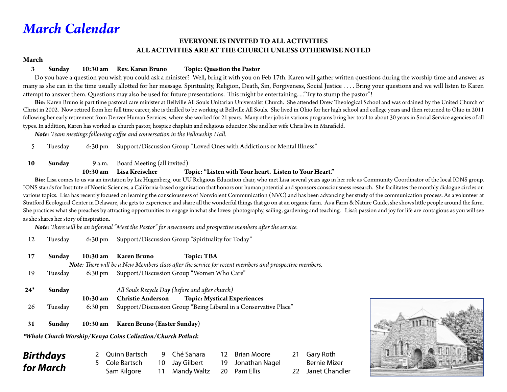## *March Calendar*

#### **EVERYONE IS INVITED TO ALL ACTIVITIES ALL ACTIVITIES ARE AT THE CHURCH UNLESS OTHERWISE NOTED**

#### **March**

#### **3 Sunday 10:30 am Rev. Karen Bruno Topic: Question the Pastor**

 Do you have a question you wish you could ask a minister? Well, bring it with you on Feb 17th. Karen will gather written questions during the worship time and answer as many as she can in the time usually allotted for her message. Spirituality, Religion, Death, Sin, Forgiveness, Social Justice . . . . Bring your questions and we will listen to Karen attempt to answer them. Questions may also be used for future presentations. This might be entertaining....."Try to stump the pastor"!

**Bio**: Karen Bruno is part time pastoral care minister at Bellville All Souls Unitarian Universalist Church. She attended Drew Theological School and was ordained by the United Church of Christ in 2002. Now retired from her full time career, she is thrilled to be working at Bellville All Souls. She lived in Ohio for her high school and college years and then returned to Ohio in 2011 following her early retirement from Denver Human Services, where she worked for 21 years. Many other jobs in various programs bring her total to about 30 years in Social Service agencies of all types. In addition, Karen has worked as church pastor, hospice chaplain and religious educator. She and her wife Chris live in Mansfield.

 *Note: Team meetings following coffee and conversation in the Fellowship Hall.*

5 Tuesday 6:30 pm Support/Discussion Group "Loved Ones with Addictions or Mental Illness"

#### 10 **Sunday** 9 a.m. Board Meeting (all invited)

#### **10:30 am Lisa Kreischer Topic: "Listen with Your heart. Listen to Your Heart."**

**Bio**: Lisa comes to us via an invitation by Liz Hugenberg, our UU Religious Education chair, who met Lisa several years ago in her role as Community Coordinator of the local IONS group. IONS stands for Institute of Noetic Sciences, a California-based organization that honors our human potential and sponsors consciousness research. She facilitates the monthly dialogue circles on various topics. Lisa has recently focused on learning the consciousness of Nonviolent Communication (NVC) and has been advancing her study of the communication process. As a volunteer at Stratford Ecological Center in Delaware, she gets to experience and share all the wonderful things that go on at an organic farm. As a Farm & Nature Guide, she shows little people around the farm. She practices what she preaches by attracting opportunities to engage in what she loves: photography, sailing, gardening and teaching. Lisa's passion and joy for life are contagious as you will see as she shares her story of inspiration.

*Note: There will be an informal "Meet the Pastor" for newcomers and prospective members after the service.*

12 Tuesday 6:30 pm Support/Discussion Group "Spirituality for Today"

| 17    | Sunday  |                   | 10:30 am Karen Bruno     | Topic: TBA                                                                                            |
|-------|---------|-------------------|--------------------------|-------------------------------------------------------------------------------------------------------|
|       |         |                   |                          | Note: There will be a New Members class after the service for recent members and prospective members. |
| 19    | Tuesday | $6:30 \text{ pm}$ |                          | Support/Discussion Group "Women Who Care"                                                             |
|       |         |                   |                          |                                                                                                       |
| $24*$ | Sunday  |                   |                          | All Souls Recycle Day (before and after church)                                                       |
|       |         | 10:30 am          | <b>Christie Anderson</b> | <b>Topic: Mystical Experiences</b>                                                                    |
| 26    | Tuesday | $6:30 \text{ pm}$ |                          | Support/Discussion Group "Being Liberal in a Conservative Place"                                      |

**31 Sunday 10:30 am Karen Bruno (Easter Sunday)** 

*\*Whole Church Worship/Kenya Coins Collection/Church Potluck*

| Birthdays | 2 Quinn Bartsch | 9 Ché Sahara                | 12 Brian Moore    | 21 Gary Roth      |
|-----------|-----------------|-----------------------------|-------------------|-------------------|
|           | 5 Cole Bartsch  | 10 Jay Gilbert              | 19 Jonathan Nagel | Bernie Mizer      |
| for March | Sam Kilgore     | 11 Mandy Waltz 20 Pam Ellis |                   | 22 Janet Chandler |

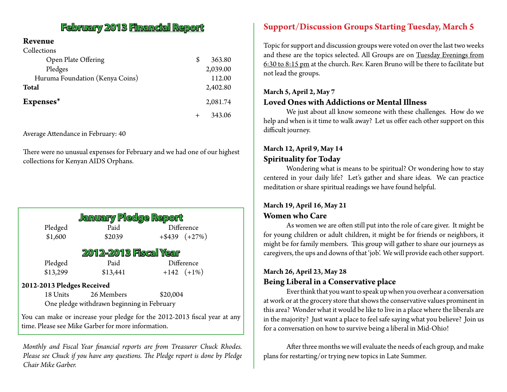### **February 2013 Financial Report**

#### **Revenue**  $C_1$  11  $\cdots$

| Collections                     |              |
|---------------------------------|--------------|
| Open Plate Offering             | \$<br>363.80 |
| Pledges                         | 2,039.00     |
| Huruma Foundation (Kenya Coins) | 112.00       |
| <b>Total</b>                    | 2,402.80     |
| Expenses*                       | 2,081.74     |
|                                 | 343.06       |

Average Attendance in February: 40

There were no unusual expenses for February and we had one of our highest collections for Kenyan AIDS Orphans.

| January Pledge Report                      |                               |          |                                                                           |  |  |  |  |
|--------------------------------------------|-------------------------------|----------|---------------------------------------------------------------------------|--|--|--|--|
|                                            | Difference<br>Paid<br>Pledged |          |                                                                           |  |  |  |  |
| \$1,600                                    | \$2039                        |          | $+$ \$439 (+27%)                                                          |  |  |  |  |
| <b>2012-2013 Fiscal Year</b>               |                               |          |                                                                           |  |  |  |  |
| Pledged                                    | Paid                          |          | Difference                                                                |  |  |  |  |
| \$13,299                                   | \$13,441                      |          | $+142$ $(+1\%)$                                                           |  |  |  |  |
| 2012-2013 Pledges Received                 |                               |          |                                                                           |  |  |  |  |
| 18 Units                                   | 26 Members                    | \$20,004 |                                                                           |  |  |  |  |
| One pledge withdrawn beginning in February |                               |          |                                                                           |  |  |  |  |
|                                            |                               |          | You can make or increase your pledge for the 2012-2013 fiscal year at any |  |  |  |  |

time. Please see Mike Garber for more information.

*Monthly and Fiscal Year financial reports are from Treasurer Chuck Rhodes. Please see Chuck if you have any questions. The Pledge report is done by Pledge Chair Mike Garber.*

### **Support/Discussion Groups Starting Tuesday, March 5**

Topic for support and discussion groups were voted on over the last two weeks and these are the topics selected. All Groups are on Tuesday Evenings from 6:30 to 8:15 pm at the church. Rev. Karen Bruno will be there to facilitate but not lead the groups.

### **March 5, April 2, May 7 Loved Ones with Addictions or Mental Illness**

We just about all know someone with these challenges. How do we help and when is it time to walk away? Let us offer each other support on this difficult journey.

#### **March 12, April 9, May 14 Spirituality for Today**

Wondering what is means to be spiritual? Or wondering how to stay centered in your daily life? Let's gather and share ideas. We can practice meditation or share spiritual readings we have found helpful.

#### **March 19, April 16, May 21 Women who Care**

As women we are often still put into the role of care giver. It might be for young children or adult children, it might be for friends or neighbors, it might be for family members. This group will gather to share our journeys as caregivers, the ups and downs of that 'job'. We will provide each other support.

#### **March 26, April 23, May 28**

#### **Being Liberal in a Conservative place**

Ever think that you want to speak up when you overhear a conversation at work or at the grocery store that shows the conservative values prominent in this area? Wonder what it would be like to live in a place where the liberals are in the majority? Just want a place to feel safe saying what you believe? Join us for a conversation on how to survive being a liberal in Mid-Ohio!

After three months we will evaluate the needs of each group, and make plans for restarting/or trying new topics in Late Summer.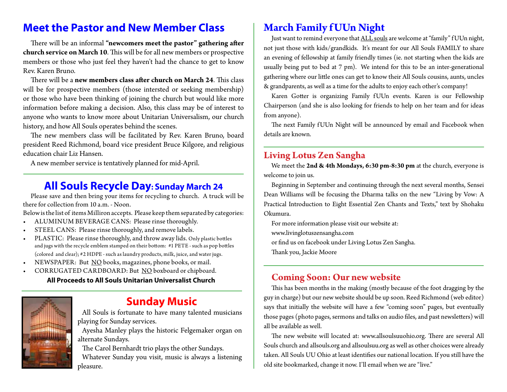### **Meet the Pastor and New Member Class State March Family f UUn Night**

There will be an informal **"newcomers meet the pastor" gathering after church service on March 10**. This will be for all new members or prospective members or those who just feel they haven't had the chance to get to know Rev. Karen Bruno.

There will be a **new members class after church on March 24**. This class will be for prospective members (those intersted or seeking membership) or those who have been thinking of joining the church but would like more information before making a decision. Also, this class may be of interest to anyone who wants to know more about Unitarian Universalism, our church history, and how All Souls operates behind the scenes.

The new members class will be facilitated by Rev. Karen Bruno, board president Reed Richmond, board vice president Bruce Kilgore, and religious education chair Liz Hansen.

A new member service is tentatively planned for mid-April.

### **All Souls Recycle Day: Sunday March 24**

Please save and then bring your items for recycling to church. A truck will be there for collection from 10 a.m. - Noon.

Below is the list of items Milliron accepts. Please keep them separated by categories:

- • ALUMINUM BEVERAGE CANS: Please rinse thoroughly.
- STEEL CANS: Please rinse thoroughly, and remove labels.
- PLASTIC: Please rinse thoroughly, and throw away lids. Only plastic bottles and jugs with the recycle emblem stamped on their bottom: #1 PETE - such as pop bottles (colored and clear); #2 HDPE - such as laundry products, milk, juice, and water jugs.
- NEWSPAPER: But NO books, magazines, phone books, or mail.
- CORRUGATED CARDBOARD: But NO boxboard or chipboard.

#### **All Proceeds to All Souls Unitarian Universalist Church**



### **Sunday Music**

All Souls is fortunate to have many talented musicians playing for Sunday services.

Ayesha Manley plays the historic Felgemaker organ on alternate Sundays.

The Carol Bernhardt trio plays the other Sundays. Whatever Sunday you visit, music is always a listening pleasure.

Just want to remind everyone that ALL souls are welcome at "family" f UUn night, not just those with kids/grandkids. It's meant for our All Souls FAMILY to share an evening of fellowship at family friendly times (ie. not starting when the kids are usually being put to bed at 7 pm). We intend for this to be an inter-generational gathering where our little ones can get to know their All Souls cousins, aunts, uncles & grandparents, as well as a time for the adults to enjoy each other's company!

Karen Gotter is organizing Family f UUn events. Karen is our Fellowship Chairperson (and she is also looking for friends to help on her team and for ideas from anyone).

The next Family f UUn Night will be announced by email and Facebook when details are known.

### **Living Lotus Zen Sangha**

We meet the **2nd & 4th Mondays, 6:30 pm-8:30 pm** at the church, everyone is welcome to join us.

Beginning in September and continuing through the next several months, Sensei Dean Williams will be focusing the Dharma talks on the new "Living by Vow: A Practical Introduction to Eight Essential Zen Chants and Texts," text by Shohaku Okumura.

For more information please visit our website at: www.livinglotuszensangha.com or find us on facebook under Living Lotus Zen Sangha.

Thank you, Jackie Moore

### **Coming Soon: Our new website**

This has been months in the making (mostly because of the foot dragging by the guy in charge) but our new website should be up soon. Reed Richmond (web editor) says that initially the website will have a few "coming soon" pages, but eventually those pages (photo pages, sermons and talks on audio files, and past newsletters) will all be available as well.

The new website will located at: www.allsoulsuuohio.org. There are several All Souls church and allsouls.org and allsoulsuu.org as well as other choices were already taken. All Souls UU Ohio at least identifies our national location. If you still have the old site bookmarked, change it now. I'll email when we are "live."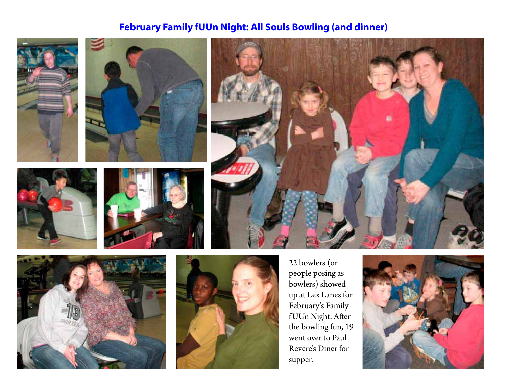### **February Family fUUn Night: All Souls Bowling (and dinner)**







22 bowlers (or people posing as bowlers) showed up at Lex Lanes for February's Family f UUn Night. After the bowling fun, 19 went over to Paul Revere's Diner for supper.